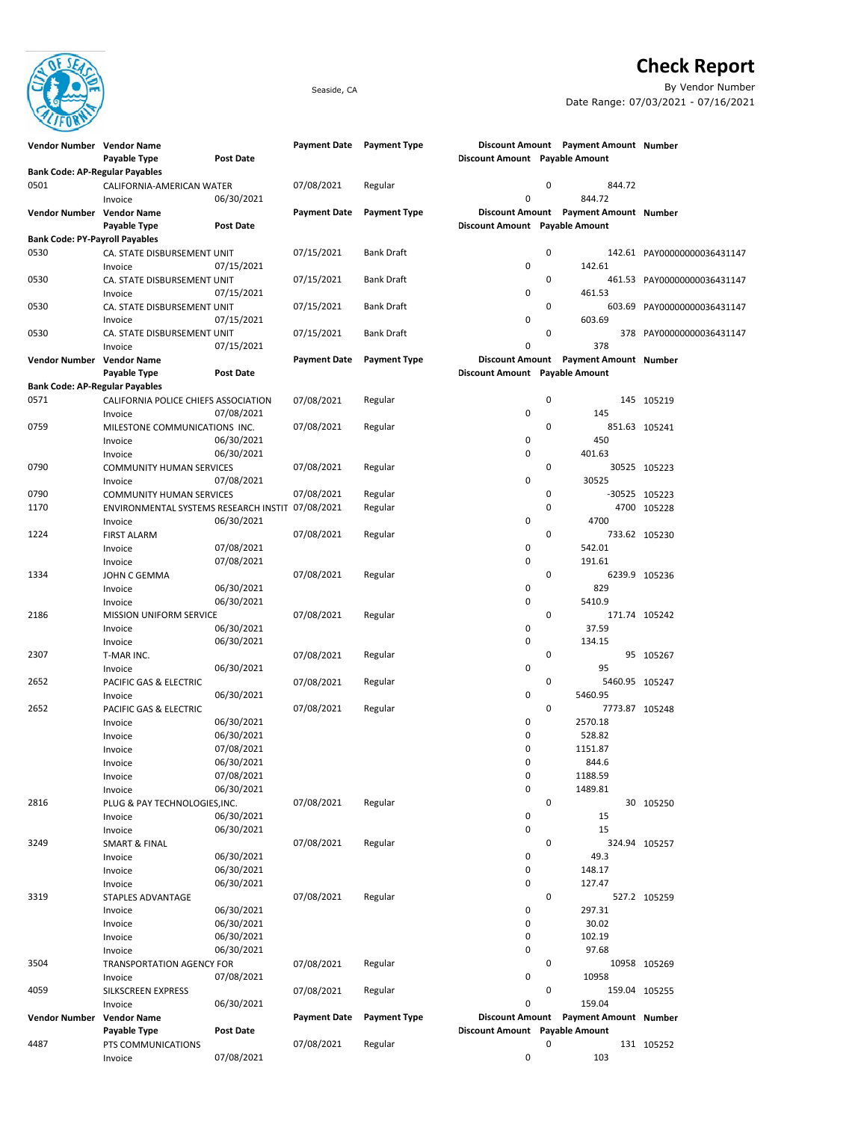

## **Check Report**

Seaside, CA By Vendor Number Date Range: 07/03/2021 - 07/16/2021

| Vendor Number Vendor Name             | Payable Type                                     | <b>Post Date</b>         | Payment Date Payment Type |                     | Discount Amount Payable Amount | Discount Amount Payment Amount Number |                             |
|---------------------------------------|--------------------------------------------------|--------------------------|---------------------------|---------------------|--------------------------------|---------------------------------------|-----------------------------|
| <b>Bank Code: AP-Regular Payables</b> |                                                  |                          |                           |                     |                                |                                       |                             |
| 0501                                  | CALIFORNIA-AMERICAN WATER                        |                          | 07/08/2021                | Regular             | 0                              | 844.72                                |                             |
|                                       | Invoice                                          | 06/30/2021               |                           |                     | 0                              | 844.72                                |                             |
| Vendor Number Vendor Name             |                                                  |                          | <b>Payment Date</b>       | <b>Payment Type</b> |                                | Discount Amount Payment Amount Number |                             |
|                                       | Payable Type                                     | <b>Post Date</b>         |                           |                     | Discount Amount Payable Amount |                                       |                             |
| Bank Code: PY-Payroll Payables        |                                                  |                          |                           |                     |                                |                                       |                             |
| 0530                                  | CA. STATE DISBURSEMENT UNIT                      |                          | 07/15/2021                | <b>Bank Draft</b>   | 0                              |                                       | 142.61 PAY00000000036431147 |
|                                       | Invoice                                          | 07/15/2021               |                           |                     | 0                              | 142.61                                |                             |
| 0530                                  | CA. STATE DISBURSEMENT UNIT                      |                          | 07/15/2021                | <b>Bank Draft</b>   | 0                              |                                       | 461.53 PAY00000000036431147 |
|                                       |                                                  |                          |                           |                     | 0                              | 461.53                                |                             |
| 0530                                  | Invoice<br>CA. STATE DISBURSEMENT UNIT           | 07/15/2021               | 07/15/2021                | <b>Bank Draft</b>   | 0                              |                                       | 603.69 PAY00000000036431147 |
|                                       |                                                  |                          |                           |                     | 0                              | 603.69                                |                             |
|                                       | Invoice                                          | 07/15/2021               |                           |                     |                                |                                       |                             |
| 0530                                  | CA. STATE DISBURSEMENT UNIT                      |                          | 07/15/2021                | <b>Bank Draft</b>   | 0                              |                                       | 378 PAY00000000036431147    |
|                                       | Invoice                                          | 07/15/2021               |                           |                     | 0                              | 378                                   |                             |
| Vendor Number                         | <b>Vendor Name</b>                               |                          | <b>Payment Date</b>       | <b>Payment Type</b> |                                | Discount Amount Payment Amount Number |                             |
|                                       | Payable Type                                     | <b>Post Date</b>         |                           |                     | Discount Amount Payable Amount |                                       |                             |
| Bank Code: AP-Regular Payables        |                                                  |                          |                           |                     |                                |                                       |                             |
| 0571                                  | CALIFORNIA POLICE CHIEFS ASSOCIATION             |                          | 07/08/2021                | Regular             | 0                              |                                       | 145 105219                  |
|                                       | Invoice                                          | 07/08/2021               |                           |                     | 0                              | 145                                   |                             |
| 0759                                  | MILESTONE COMMUNICATIONS INC.                    |                          | 07/08/2021                | Regular             | 0                              |                                       | 851.63 105241               |
|                                       | Invoice                                          | 06/30/2021               |                           |                     | 0                              | 450                                   |                             |
|                                       | Invoice                                          | 06/30/2021               |                           |                     | 0                              | 401.63                                |                             |
| 0790                                  | <b>COMMUNITY HUMAN SERVICES</b>                  |                          | 07/08/2021                | Regular             | 0                              |                                       | 30525 105223                |
|                                       | Invoice                                          | 07/08/2021               |                           |                     | 0                              | 30525                                 |                             |
| 0790                                  | <b>COMMUNITY HUMAN SERVICES</b>                  |                          | 07/08/2021                | Regular             | 0                              |                                       | -30525 105223               |
| 1170                                  | ENVIRONMENTAL SYSTEMS RESEARCH INSTIT 07/08/2021 |                          |                           | Regular             | 0                              |                                       | 4700 105228                 |
|                                       | Invoice                                          | 06/30/2021               |                           |                     | 0                              | 4700                                  |                             |
| 1224                                  | <b>FIRST ALARM</b>                               |                          | 07/08/2021                | Regular             | 0                              |                                       | 733.62 105230               |
|                                       | Invoice                                          | 07/08/2021               |                           |                     | 0                              | 542.01                                |                             |
|                                       | Invoice                                          | 07/08/2021               |                           |                     | 0                              | 191.61                                |                             |
| 1334                                  | JOHN C GEMMA                                     |                          | 07/08/2021                | Regular             | 0                              |                                       | 6239.9 105236               |
|                                       | Invoice                                          | 06/30/2021               |                           |                     | 0                              | 829                                   |                             |
|                                       | Invoice                                          | 06/30/2021               |                           |                     | 0                              | 5410.9                                |                             |
| 2186                                  | MISSION UNIFORM SERVICE                          |                          | 07/08/2021                | Regular             | 0                              |                                       | 171.74 105242               |
|                                       | Invoice                                          | 06/30/2021               |                           |                     | 0                              | 37.59                                 |                             |
|                                       | Invoice                                          | 06/30/2021               |                           |                     | 0                              | 134.15                                |                             |
| 2307                                  | T-MAR INC.                                       |                          | 07/08/2021                | Regular             | 0                              |                                       | 95 105267                   |
|                                       | Invoice                                          | 06/30/2021               |                           |                     | 0                              | 95                                    |                             |
| 2652                                  | PACIFIC GAS & ELECTRIC                           |                          | 07/08/2021                | Regular             | 0                              | 5460.95 105247                        |                             |
|                                       | Invoice                                          | 06/30/2021               |                           |                     | 0                              | 5460.95                               |                             |
| 2652                                  | PACIFIC GAS & ELECTRIC                           |                          | 07/08/2021                | Regular             | 0                              | 7773.87 105248                        |                             |
|                                       | Invoice                                          | 06/30/2021               |                           |                     | 0                              | 2570.18                               |                             |
|                                       | Invoice                                          | 06/30/2021               |                           |                     | 0                              | 528.82                                |                             |
|                                       | Invoice                                          | 07/08/2021               |                           |                     | 0                              | 1151.87                               |                             |
|                                       | Invoice                                          | 06/30/2021               |                           |                     | $\Omega$                       | 844.6                                 |                             |
|                                       | Invoice                                          | 07/08/2021               |                           |                     | 0                              | 1188.59                               |                             |
|                                       | Invoice                                          | 06/30/2021               |                           |                     | 0                              | 1489.81                               |                             |
| 2816                                  | PLUG & PAY TECHNOLOGIES, INC.                    |                          | 07/08/2021                | Regular             | 0                              |                                       | 30 105250                   |
|                                       | Invoice                                          | 06/30/2021               |                           |                     | 0                              | 15                                    |                             |
|                                       | Invoice                                          | 06/30/2021               |                           |                     | 0                              | 15                                    |                             |
| 3249                                  | <b>SMART &amp; FINAL</b>                         |                          | 07/08/2021                | Regular             | 0                              |                                       | 324.94 105257               |
|                                       | Invoice                                          | 06/30/2021               |                           |                     | 0                              | 49.3                                  |                             |
|                                       | Invoice                                          | 06/30/2021               |                           |                     | $\pmb{0}$                      | 148.17                                |                             |
|                                       |                                                  | 06/30/2021               |                           |                     | 0                              | 127.47                                |                             |
| 3319                                  | Invoice<br>STAPLES ADVANTAGE                     |                          |                           | Regular             | 0                              |                                       | 527.2 105259                |
|                                       |                                                  |                          | 07/08/2021                |                     |                                |                                       |                             |
|                                       | Invoice                                          | 06/30/2021<br>06/30/2021 |                           |                     | 0<br>0                         | 297.31                                |                             |
|                                       | Invoice                                          |                          |                           |                     |                                | 30.02                                 |                             |
|                                       | Invoice                                          | 06/30/2021               |                           |                     | 0                              | 102.19                                |                             |
|                                       | Invoice                                          | 06/30/2021               |                           |                     | 0                              | 97.68                                 |                             |
| 3504                                  | <b>TRANSPORTATION AGENCY FOR</b>                 |                          | 07/08/2021                | Regular             | 0                              |                                       | 10958 105269                |
|                                       | Invoice                                          | 07/08/2021               |                           |                     | 0                              | 10958                                 |                             |
| 4059                                  | SILKSCREEN EXPRESS                               |                          | 07/08/2021                | Regular             | 0                              |                                       | 159.04 105255               |
|                                       | Invoice                                          | 06/30/2021               |                           |                     | 0                              | 159.04                                |                             |
| Vendor Number                         | <b>Vendor Name</b>                               |                          | <b>Payment Date</b>       | <b>Payment Type</b> |                                | Discount Amount Payment Amount Number |                             |
|                                       | Payable Type                                     | <b>Post Date</b>         |                           |                     | Discount Amount Payable Amount |                                       |                             |
| 4487                                  | PTS COMMUNICATIONS                               |                          | 07/08/2021                | Regular             | 0                              |                                       | 131 105252                  |
|                                       | Invoice                                          | 07/08/2021               |                           |                     | 0                              | 103                                   |                             |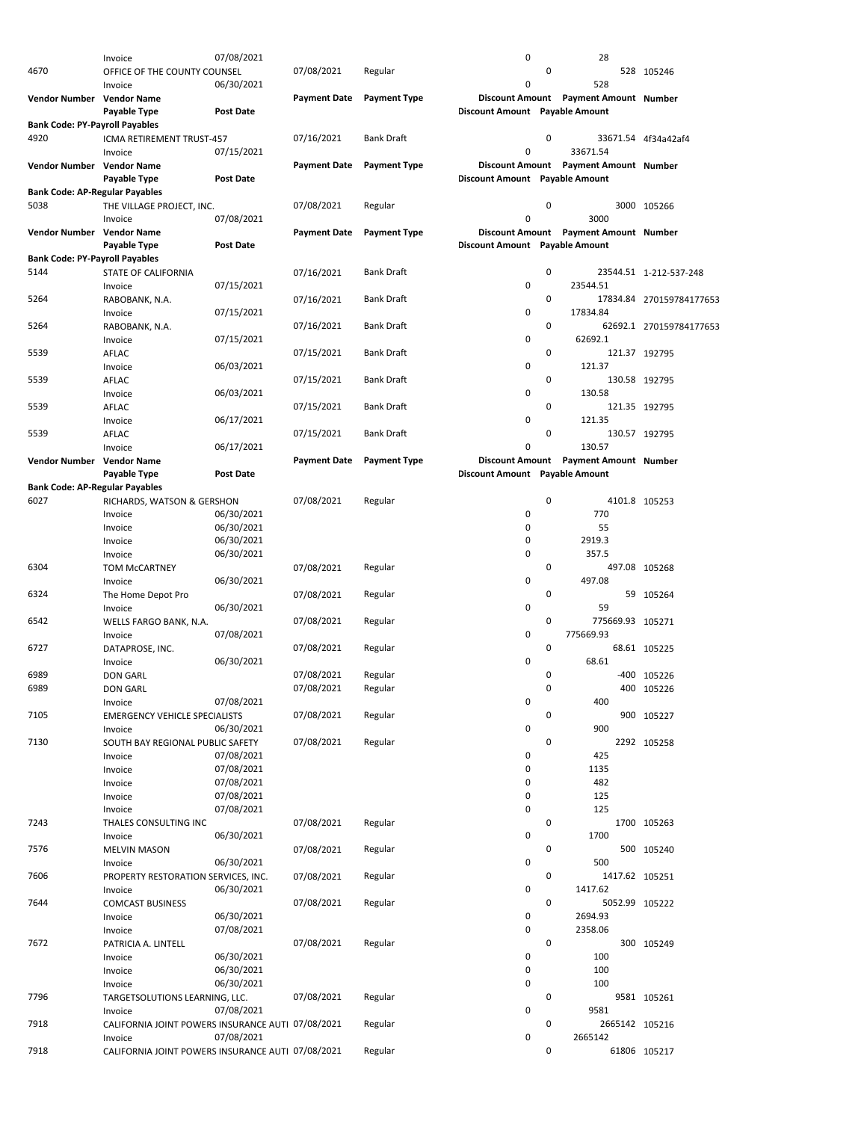|                                       | Invoice                                           | 07/08/2021       |                     |                     | 0                              |   | 28                                    |                          |
|---------------------------------------|---------------------------------------------------|------------------|---------------------|---------------------|--------------------------------|---|---------------------------------------|--------------------------|
| 4670                                  | OFFICE OF THE COUNTY COUNSEL                      |                  | 07/08/2021          | Regular             |                                | 0 |                                       | 528 105246               |
|                                       | Invoice                                           | 06/30/2021       |                     |                     | 0                              |   | 528                                   |                          |
| Vendor Number Vendor Name             |                                                   |                  | <b>Payment Date</b> | <b>Payment Type</b> |                                |   | Discount Amount Payment Amount Number |                          |
|                                       |                                                   |                  |                     |                     |                                |   |                                       |                          |
|                                       | Payable Type                                      | <b>Post Date</b> |                     |                     | Discount Amount Payable Amount |   |                                       |                          |
| <b>Bank Code: PY-Payroll Payables</b> |                                                   |                  |                     |                     |                                |   |                                       |                          |
| 4920                                  | ICMA RETIREMENT TRUST-457                         |                  | 07/16/2021          | <b>Bank Draft</b>   |                                | 0 |                                       | 33671.54 4f34a42af4      |
|                                       | Invoice                                           | 07/15/2021       |                     |                     | 0                              |   | 33671.54                              |                          |
| Vendor Number Vendor Name             |                                                   |                  | <b>Payment Date</b> | <b>Payment Type</b> |                                |   | Discount Amount Payment Amount Number |                          |
|                                       | Payable Type                                      | Post Date        |                     |                     | Discount Amount Payable Amount |   |                                       |                          |
| <b>Bank Code: AP-Regular Payables</b> |                                                   |                  |                     |                     |                                |   |                                       |                          |
|                                       |                                                   |                  |                     |                     |                                | 0 |                                       | 3000 105266              |
| 5038                                  | THE VILLAGE PROJECT, INC.                         |                  | 07/08/2021          | Regular             |                                |   |                                       |                          |
|                                       | Invoice                                           | 07/08/2021       |                     |                     | 0                              |   | 3000                                  |                          |
| Vendor Number Vendor Name             |                                                   |                  | <b>Payment Date</b> | <b>Payment Type</b> |                                |   | Discount Amount Payment Amount Number |                          |
|                                       | Payable Type                                      | <b>Post Date</b> |                     |                     | Discount Amount Payable Amount |   |                                       |                          |
| <b>Bank Code: PY-Payroll Payables</b> |                                                   |                  |                     |                     |                                |   |                                       |                          |
| 5144                                  | STATE OF CALIFORNIA                               |                  | 07/16/2021          | <b>Bank Draft</b>   |                                | 0 |                                       | 23544.51 1-212-537-248   |
|                                       | Invoice                                           | 07/15/2021       |                     |                     | 0                              |   | 23544.51                              |                          |
| 5264                                  |                                                   |                  |                     | <b>Bank Draft</b>   |                                | 0 |                                       |                          |
|                                       | RABOBANK, N.A.                                    |                  | 07/16/2021          |                     |                                |   |                                       | 17834.84 270159784177653 |
|                                       | Invoice                                           | 07/15/2021       |                     |                     | 0                              |   | 17834.84                              |                          |
| 5264                                  | RABOBANK, N.A.                                    |                  | 07/16/2021          | <b>Bank Draft</b>   |                                | 0 |                                       | 62692.1 270159784177653  |
|                                       | Invoice                                           | 07/15/2021       |                     |                     | 0                              |   | 62692.1                               |                          |
| 5539                                  | AFLAC                                             |                  | 07/15/2021          | <b>Bank Draft</b>   |                                | 0 |                                       | 121.37 192795            |
|                                       | Invoice                                           | 06/03/2021       |                     |                     | 0                              |   | 121.37                                |                          |
| 5539                                  | AFLAC                                             |                  | 07/15/2021          | <b>Bank Draft</b>   |                                | 0 |                                       | 130.58 192795            |
|                                       |                                                   | 06/03/2021       |                     |                     | 0                              |   | 130.58                                |                          |
|                                       | Invoice                                           |                  |                     |                     |                                |   |                                       |                          |
| 5539                                  | AFLAC                                             |                  | 07/15/2021          | <b>Bank Draft</b>   |                                | 0 |                                       | 121.35 192795            |
|                                       | Invoice                                           | 06/17/2021       |                     |                     | 0                              |   | 121.35                                |                          |
| 5539                                  | AFLAC                                             |                  | 07/15/2021          | <b>Bank Draft</b>   |                                | 0 |                                       | 130.57 192795            |
|                                       | Invoice                                           | 06/17/2021       |                     |                     | 0                              |   | 130.57                                |                          |
| Vendor Number Vendor Name             |                                                   |                  | <b>Payment Date</b> | <b>Payment Type</b> |                                |   | Discount Amount Payment Amount Number |                          |
|                                       | Payable Type                                      | <b>Post Date</b> |                     |                     | Discount Amount Payable Amount |   |                                       |                          |
| <b>Bank Code: AP-Regular Payables</b> |                                                   |                  |                     |                     |                                |   |                                       |                          |
| 6027                                  | RICHARDS, WATSON & GERSHON                        |                  | 07/08/2021          | Regular             |                                | 0 | 4101.8 105253                         |                          |
|                                       |                                                   |                  |                     |                     |                                |   |                                       |                          |
|                                       | Invoice                                           | 06/30/2021       |                     |                     | 0                              |   | 770                                   |                          |
|                                       | Invoice                                           | 06/30/2021       |                     |                     | 0                              |   | 55                                    |                          |
|                                       | Invoice                                           | 06/30/2021       |                     |                     | 0                              |   | 2919.3                                |                          |
|                                       | Invoice                                           | 06/30/2021       |                     |                     | 0                              |   | 357.5                                 |                          |
| 6304                                  | <b>TOM McCARTNEY</b>                              |                  | 07/08/2021          | Regular             |                                | 0 |                                       | 497.08 105268            |
|                                       | Invoice                                           | 06/30/2021       |                     |                     | 0                              |   | 497.08                                |                          |
| 6324                                  | The Home Depot Pro                                |                  | 07/08/2021          | Regular             |                                | 0 | 59                                    | 105264                   |
|                                       |                                                   | 06/30/2021       |                     |                     | 0                              |   | 59                                    |                          |
|                                       | Invoice                                           |                  |                     |                     |                                |   |                                       |                          |
| 6542                                  | WELLS FARGO BANK, N.A.                            |                  | 07/08/2021          | Regular             |                                | 0 | 775669.93 105271                      |                          |
|                                       | Invoice                                           | 07/08/2021       |                     |                     | 0                              |   | 775669.93                             |                          |
| 6727                                  | DATAPROSE, INC.                                   |                  | 07/08/2021          | Regular             |                                | 0 |                                       | 68.61 105225             |
|                                       | Invoice                                           | 06/30/2021       |                     |                     | 0                              |   | 68.61                                 |                          |
| 6989                                  | <b>DON GARL</b>                                   |                  | 07/08/2021          | Regular             |                                | 0 |                                       | -400 105226              |
| 6989                                  | <b>DON GARL</b>                                   |                  | 07/08/2021          | Regular             |                                | 0 |                                       | 400 105226               |
|                                       |                                                   | 07/08/2021       |                     |                     | 0                              |   | 400                                   |                          |
|                                       | Invoice                                           |                  |                     |                     |                                |   |                                       |                          |
| 7105                                  | <b>EMERGENCY VEHICLE SPECIALISTS</b>              |                  | 07/08/2021          | Regular             |                                | 0 |                                       | 900 105227               |
|                                       | Invoice                                           | 06/30/2021       |                     |                     | 0                              |   | 900                                   |                          |
| 7130                                  | SOUTH BAY REGIONAL PUBLIC SAFETY                  |                  | 07/08/2021          | Regular             |                                | 0 |                                       | 2292 105258              |
|                                       | Invoice                                           | 07/08/2021       |                     |                     | 0                              |   | 425                                   |                          |
|                                       | Invoice                                           | 07/08/2021       |                     |                     | 0                              |   | 1135                                  |                          |
|                                       | Invoice                                           | 07/08/2021       |                     |                     | 0                              |   | 482                                   |                          |
|                                       | Invoice                                           | 07/08/2021       |                     |                     | 0                              |   | 125                                   |                          |
|                                       |                                                   |                  |                     |                     | 0                              |   | 125                                   |                          |
|                                       | Invoice                                           | 07/08/2021       |                     |                     |                                |   |                                       |                          |
| 7243                                  | THALES CONSULTING INC                             |                  | 07/08/2021          | Regular             |                                | 0 |                                       | 1700 105263              |
|                                       | Invoice                                           | 06/30/2021       |                     |                     | 0                              |   | 1700                                  |                          |
| 7576                                  | <b>MELVIN MASON</b>                               |                  | 07/08/2021          | Regular             |                                | 0 |                                       | 500 105240               |
|                                       | Invoice                                           | 06/30/2021       |                     |                     | 0                              |   | 500                                   |                          |
| 7606                                  | PROPERTY RESTORATION SERVICES, INC.               |                  | 07/08/2021          | Regular             |                                | 0 | 1417.62 105251                        |                          |
|                                       | Invoice                                           | 06/30/2021       |                     |                     | 0                              |   | 1417.62                               |                          |
| 7644                                  | <b>COMCAST BUSINESS</b>                           |                  | 07/08/2021          | Regular             |                                | 0 | 5052.99 105222                        |                          |
|                                       |                                                   | 06/30/2021       |                     |                     | 0                              |   | 2694.93                               |                          |
|                                       | Invoice                                           |                  |                     |                     |                                |   |                                       |                          |
|                                       | Invoice                                           | 07/08/2021       |                     |                     | 0                              |   | 2358.06                               |                          |
| 7672                                  | PATRICIA A. LINTELL                               |                  | 07/08/2021          | Regular             |                                | 0 |                                       | 300 105249               |
|                                       | Invoice                                           | 06/30/2021       |                     |                     | 0                              |   | 100                                   |                          |
|                                       | Invoice                                           | 06/30/2021       |                     |                     | 0                              |   | 100                                   |                          |
|                                       | Invoice                                           | 06/30/2021       |                     |                     | 0                              |   | 100                                   |                          |
| 7796                                  | TARGETSOLUTIONS LEARNING, LLC.                    |                  | 07/08/2021          | Regular             |                                | 0 |                                       | 9581 105261              |
|                                       | Invoice                                           | 07/08/2021       |                     |                     | 0                              |   | 9581                                  |                          |
|                                       |                                                   |                  |                     |                     |                                |   |                                       |                          |
| 7918                                  | CALIFORNIA JOINT POWERS INSURANCE AUTI 07/08/2021 |                  |                     | Regular             |                                | 0 | 2665142 105216                        |                          |
|                                       | Invoice                                           | 07/08/2021       |                     |                     | 0                              |   | 2665142                               |                          |
| 7918                                  | CALIFORNIA JOINT POWERS INSURANCE AUTI 07/08/2021 |                  |                     | Regular             |                                | 0 |                                       | 61806 105217             |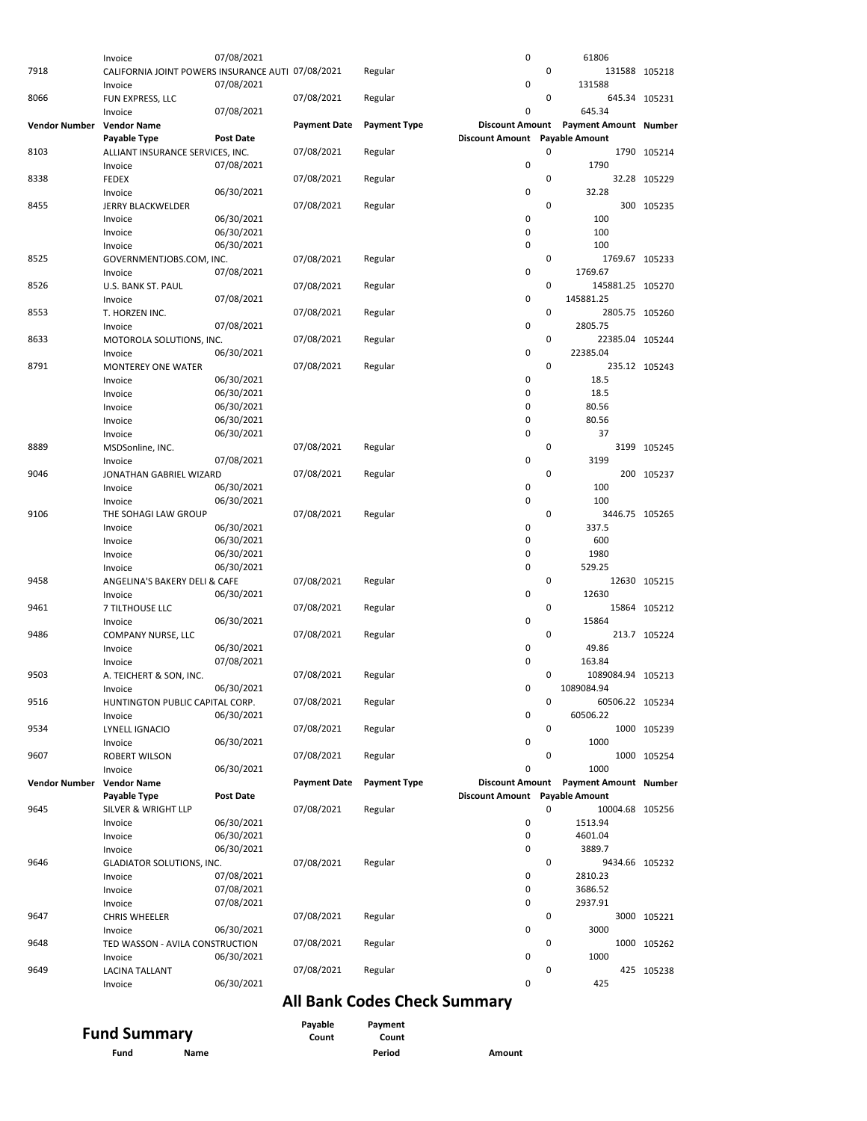|                      | Invoice                                           | 07/08/2021       |                     |                     | $\pmb{0}$                      |             | 61806                                 |               |
|----------------------|---------------------------------------------------|------------------|---------------------|---------------------|--------------------------------|-------------|---------------------------------------|---------------|
| 7918                 | CALIFORNIA JOINT POWERS INSURANCE AUTI 07/08/2021 |                  |                     | Regular             |                                | 0           | 131588 105218                         |               |
|                      | Invoice                                           | 07/08/2021       |                     |                     | 0                              |             | 131588                                |               |
| 8066                 | FUN EXPRESS, LLC                                  |                  | 07/08/2021          | Regular             |                                | 0           |                                       | 645.34 105231 |
|                      |                                                   | 07/08/2021       |                     |                     | 0                              |             | 645.34                                |               |
|                      | Invoice                                           |                  |                     |                     |                                |             |                                       |               |
| <b>Vendor Number</b> | <b>Vendor Name</b>                                |                  | <b>Payment Date</b> | <b>Payment Type</b> | <b>Discount Amount</b>         |             | Payment Amount Number                 |               |
|                      | Payable Type                                      | <b>Post Date</b> |                     |                     | Discount Amount Payable Amount |             |                                       |               |
| 8103                 | ALLIANT INSURANCE SERVICES, INC.                  |                  | 07/08/2021          | Regular             |                                | 0           |                                       | 1790 105214   |
|                      | Invoice                                           | 07/08/2021       |                     |                     | 0                              |             | 1790                                  |               |
| 8338                 | <b>FEDEX</b>                                      |                  | 07/08/2021          | Regular             |                                | 0           |                                       | 32.28 105229  |
|                      | Invoice                                           | 06/30/2021       |                     |                     | 0                              |             | 32.28                                 |               |
| 8455                 | <b>JERRY BLACKWELDER</b>                          |                  | 07/08/2021          | Regular             |                                | 0           |                                       | 300 105235    |
|                      |                                                   |                  |                     |                     |                                |             |                                       |               |
|                      | Invoice                                           | 06/30/2021       |                     |                     | 0                              |             | 100                                   |               |
|                      | Invoice                                           | 06/30/2021       |                     |                     | 0                              |             | 100                                   |               |
|                      | Invoice                                           | 06/30/2021       |                     |                     | 0                              |             | 100                                   |               |
| 8525                 | GOVERNMENTJOBS.COM, INC.                          |                  | 07/08/2021          | Regular             |                                | $\mathbf 0$ | 1769.67 105233                        |               |
|                      | Invoice                                           | 07/08/2021       |                     |                     | 0                              |             | 1769.67                               |               |
| 8526                 | U.S. BANK ST. PAUL                                |                  | 07/08/2021          | Regular             |                                | 0           | 145881.25 105270                      |               |
|                      | Invoice                                           |                  |                     |                     | 0                              |             | 145881.25                             |               |
|                      |                                                   | 07/08/2021       |                     |                     |                                |             |                                       |               |
| 8553                 | T. HORZEN INC.                                    |                  | 07/08/2021          | Regular             |                                | 0           | 2805.75 105260                        |               |
|                      | Invoice                                           | 07/08/2021       |                     |                     | 0                              |             | 2805.75                               |               |
| 8633                 | MOTOROLA SOLUTIONS, INC.                          |                  | 07/08/2021          | Regular             |                                | 0           | 22385.04 105244                       |               |
|                      | Invoice                                           | 06/30/2021       |                     |                     | 0                              |             | 22385.04                              |               |
| 8791                 | <b>MONTEREY ONE WATER</b>                         |                  | 07/08/2021          | Regular             |                                | 0           |                                       | 235.12 105243 |
|                      | Invoice                                           | 06/30/2021       |                     |                     | 0                              |             | 18.5                                  |               |
|                      |                                                   |                  |                     |                     |                                |             |                                       |               |
|                      | Invoice                                           | 06/30/2021       |                     |                     | 0                              |             | 18.5                                  |               |
|                      | Invoice                                           | 06/30/2021       |                     |                     | 0                              |             | 80.56                                 |               |
|                      | Invoice                                           | 06/30/2021       |                     |                     | 0                              |             | 80.56                                 |               |
|                      | Invoice                                           | 06/30/2021       |                     |                     | $\pmb{0}$                      |             | 37                                    |               |
| 8889                 | MSDSonline, INC.                                  |                  | 07/08/2021          | Regular             |                                | 0           |                                       | 3199 105245   |
|                      | Invoice                                           | 07/08/2021       |                     |                     | 0                              |             | 3199                                  |               |
| 9046                 | JONATHAN GABRIEL WIZARD                           |                  | 07/08/2021          | Regular             |                                | 0           |                                       | 200 105237    |
|                      |                                                   |                  |                     |                     |                                |             |                                       |               |
|                      | Invoice                                           | 06/30/2021       |                     |                     | 0                              |             | 100                                   |               |
|                      | Invoice                                           | 06/30/2021       |                     |                     | 0                              |             | 100                                   |               |
| 9106                 | THE SOHAGI LAW GROUP                              |                  | 07/08/2021          | Regular             |                                | $\mathbf 0$ | 3446.75 105265                        |               |
|                      | Invoice                                           | 06/30/2021       |                     |                     | 0                              |             | 337.5                                 |               |
|                      | Invoice                                           | 06/30/2021       |                     |                     | 0                              |             | 600                                   |               |
|                      | Invoice                                           | 06/30/2021       |                     |                     | 0                              |             | 1980                                  |               |
|                      |                                                   |                  |                     |                     | 0                              |             |                                       |               |
|                      | Invoice                                           | 06/30/2021       |                     |                     |                                |             | 529.25                                |               |
| 9458                 | ANGELINA'S BAKERY DELI & CAFE                     |                  | 07/08/2021          | Regular             |                                | 0           |                                       | 12630 105215  |
|                      | Invoice                                           |                  |                     |                     |                                |             |                                       |               |
|                      |                                                   | 06/30/2021       |                     |                     | 0                              |             | 12630                                 |               |
| 9461                 | 7 TILTHOUSE LLC                                   |                  | 07/08/2021          | Regular             |                                | 0           |                                       | 15864 105212  |
|                      | Invoice                                           |                  |                     |                     | 0                              |             | 15864                                 |               |
|                      |                                                   | 06/30/2021       |                     |                     |                                |             |                                       |               |
| 9486                 | COMPANY NURSE, LLC                                |                  | 07/08/2021          | Regular             |                                | 0           |                                       | 213.7 105224  |
|                      | Invoice                                           | 06/30/2021       |                     |                     | 0                              |             | 49.86                                 |               |
|                      | Invoice                                           | 07/08/2021       |                     |                     | 0                              |             | 163.84                                |               |
| 9503                 | A. TEICHERT & SON, INC.                           |                  | 07/08/2021          | Regular             |                                | 0           | 1089084.94 105213                     |               |
|                      | Invoice                                           | 06/30/2021       |                     |                     | 0                              |             | 1089084.94                            |               |
| 9516                 | HUNTINGTON PUBLIC CAPITAL CORP.                   |                  | 07/08/2021          | Regular             |                                | 0           | 60506.22 105234                       |               |
|                      | Invoice                                           | 06/30/2021       |                     |                     | 0                              |             | 60506.22                              |               |
|                      |                                                   |                  |                     |                     |                                |             |                                       |               |
| 9534                 | LYNELL IGNACIO                                    |                  | 07/08/2021          | Regular             |                                | 0           |                                       | 1000 105239   |
|                      | Invoice                                           | 06/30/2021       |                     |                     | 0                              |             | 1000                                  |               |
| 9607                 | ROBERT WILSON                                     |                  | 07/08/2021          | Regular             |                                | 0           |                                       | 1000 105254   |
|                      | Invoice                                           | 06/30/2021       |                     |                     | 0                              |             | 1000                                  |               |
| <b>Vendor Number</b> | <b>Vendor Name</b>                                |                  | <b>Payment Date</b> | <b>Payment Type</b> |                                |             | Discount Amount Payment Amount Number |               |
|                      | Payable Type                                      | Post Date        |                     |                     | Discount Amount Payable Amount |             |                                       |               |
| 9645                 |                                                   |                  |                     |                     |                                | 0           |                                       |               |
|                      | SILVER & WRIGHT LLP                               |                  | 07/08/2021          | Regular             |                                |             | 10004.68 105256                       |               |
|                      | Invoice                                           | 06/30/2021       |                     |                     | 0                              |             | 1513.94                               |               |
|                      | Invoice                                           | 06/30/2021       |                     |                     | 0                              |             | 4601.04                               |               |
|                      | Invoice                                           | 06/30/2021       |                     |                     | 0                              |             | 3889.7                                |               |
| 9646                 | GLADIATOR SOLUTIONS, INC.                         |                  | 07/08/2021          | Regular             |                                | 0           | 9434.66 105232                        |               |
|                      | Invoice                                           | 07/08/2021       |                     |                     | 0                              |             | 2810.23                               |               |
|                      | Invoice                                           | 07/08/2021       |                     |                     | 0                              |             | 3686.52                               |               |
|                      | Invoice                                           |                  |                     |                     | 0                              |             | 2937.91                               |               |
|                      |                                                   | 07/08/2021       |                     |                     |                                |             |                                       |               |
| 9647                 | CHRIS WHEELER                                     |                  | 07/08/2021          | Regular             |                                | $\mathsf 0$ |                                       | 3000 105221   |
|                      | Invoice                                           | 06/30/2021       |                     |                     | 0                              |             | 3000                                  |               |
| 9648                 | TED WASSON - AVILA CONSTRUCTION                   |                  | 07/08/2021          | Regular             |                                | 0           |                                       | 1000 105262   |
|                      | Invoice                                           | 06/30/2021       |                     |                     | 0                              |             | 1000                                  |               |
| 9649                 | LACINA TALLANT                                    | 06/30/2021       | 07/08/2021          | Regular             | 0                              | 0           | 425                                   | 425 105238    |

## **All Bank Codes Check Summary**

|                     |      | Pavable | Pavment |        |
|---------------------|------|---------|---------|--------|
| <b>Fund Summary</b> |      | Count   | Count   |        |
| Fund                | Name |         | Period  | Amount |